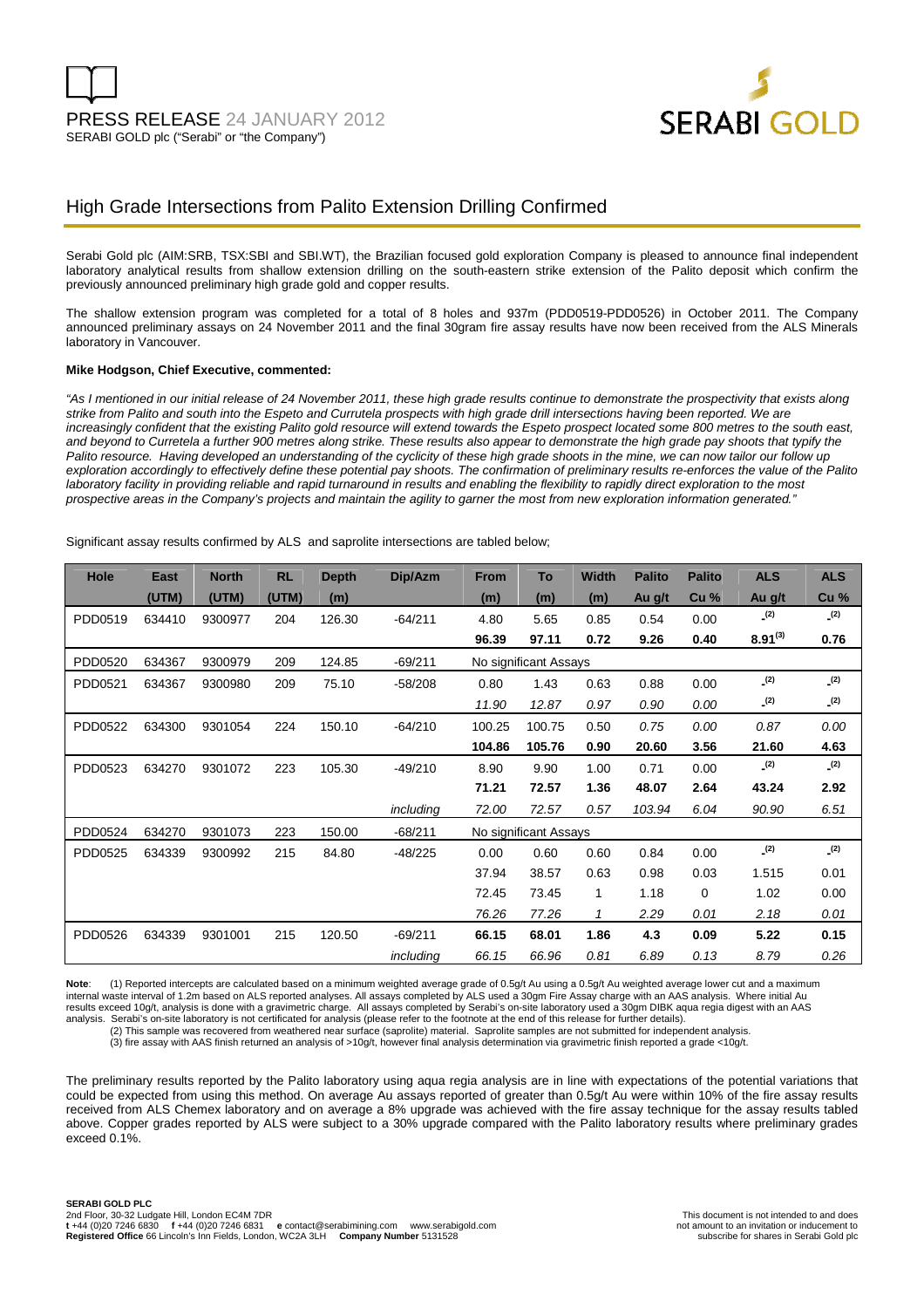

# High Grade Intersections from Palito Extension Drilling Confirmed

Serabi Gold plc (AIM:SRB, TSX:SBI and SBI.WT), the Brazilian focused gold exploration Company is pleased to announce final independent laboratory analytical results from shallow extension drilling on the south-eastern strike extension of the Palito deposit which confirm the previously announced preliminary high grade gold and copper results.

The shallow extension program was completed for a total of 8 holes and 937m (PDD0519-PDD0526) in October 2011. The Company announced preliminary assays on 24 November 2011 and the final 30gram fire assay results have now been received from the ALS Minerals laboratory in Vancouver.

### **Mike Hodgson, Chief Executive, commented:**

"As I mentioned in our initial release of 24 November 2011, these high grade results continue to demonstrate the prospectivity that exists along strike from Palito and south into the Espeto and Currutela prospects with high grade drill intersections having been reported. We are increasingly confident that the existing Palito gold resource will extend towards the Espeto prospect located some 800 metres to the south east, and beyond to Curretela a further 900 metres along strike. These results also appear to demonstrate the high grade pay shoots that typify the Palito resource. Having developed an understanding of the cyclicity of these high grade shoots in the mine, we can now tailor our follow up exploration accordingly to effectively define these potential pay shoots. The confirmation of preliminary results re-enforces the value of the Palito laboratory facility in providing reliable and rapid turnaround in results and enabling the flexibility to rapidly direct exploration to the most prospective areas in the Company's projects and maintain the agility to garner the most from new exploration information generated."

Significant assay results confirmed by ALS and saprolite intersections are tabled below;

| Hole    | <b>East</b> | <b>North</b> | <b>RL</b> | <b>Depth</b> | Dip/Azm   | <b>From</b>           | To     | <b>Width</b> | <b>Palito</b> | <b>Palito</b>   | <b>ALS</b>   | <b>ALS</b>  |
|---------|-------------|--------------|-----------|--------------|-----------|-----------------------|--------|--------------|---------------|-----------------|--------------|-------------|
|         | (UTM)       | (UTM)        | (UTM)     | (m)          |           | (m)                   | (m)    | (m)          | Au g/t        | Cu <sub>%</sub> | Au g/t       | <b>Cu %</b> |
| PDD0519 | 634410      | 9300977      | 204       | 126.30       | $-64/211$ | 4.80                  | 5.65   | 0.85         | 0.54          | 0.00            | (2)          | (2)         |
|         |             |              |           |              |           | 96.39                 | 97.11  | 0.72         | 9.26          | 0.40            | $8.91^{(3)}$ | 0.76        |
| PDD0520 | 634367      | 9300979      | 209       | 124.85       | $-69/211$ | No significant Assays |        |              |               |                 |              |             |
| PDD0521 | 634367      | 9300980      | 209       | 75.10        | $-58/208$ | 0.80                  | 1.43   | 0.63         | 0.88          | 0.00            | (2)          | (2)         |
|         |             |              |           |              |           | 11.90                 | 12.87  | 0.97         | 0.90          | 0.00            | (2)          | (2)         |
| PDD0522 | 634300      | 9301054      | 224       | 150.10       | $-64/210$ | 100.25                | 100.75 | 0.50         | 0.75          | 0.00            | 0.87         | 0.00        |
|         |             |              |           |              |           | 104.86                | 105.76 | 0.90         | 20.60         | 3.56            | 21.60        | 4.63        |
| PDD0523 | 634270      | 9301072      | 223       | 105.30       | $-49/210$ | 8.90                  | 9.90   | 1.00         | 0.71          | 0.00            | (2)          | (2)         |
|         |             |              |           |              |           | 71.21                 | 72.57  | 1.36         | 48.07         | 2.64            | 43.24        | 2.92        |
|         |             |              |           |              | including | 72.00                 | 72.57  | 0.57         | 103.94        | 6.04            | 90.90        | 6.51        |
| PDD0524 | 634270      | 9301073      | 223       | 150.00       | $-68/211$ | No significant Assays |        |              |               |                 |              |             |
| PDD0525 | 634339      | 9300992      | 215       | 84.80        | $-48/225$ | 0.00                  | 0.60   | 0.60         | 0.84          | 0.00            | (2)          | (2)         |
|         |             |              |           |              |           | 37.94                 | 38.57  | 0.63         | 0.98          | 0.03            | 1.515        | 0.01        |
|         |             |              |           |              |           | 72.45                 | 73.45  | 1            | 1.18          | 0               | 1.02         | 0.00        |
|         |             |              |           |              |           | 76.26                 | 77.26  | 1            | 2.29          | 0.01            | 2.18         | 0.01        |
| PDD0526 | 634339      | 9301001      | 215       | 120.50       | $-69/211$ | 66.15                 | 68.01  | 1.86         | 4.3           | 0.09            | 5.22         | 0.15        |
|         |             |              |           |              | including | 66.15                 | 66.96  | 0.81         | 6.89          | 0.13            | 8.79         | 0.26        |

Note: (1) Reported intercepts are calculated based on a minimum weighted average grade of 0.5g/t Au using a 0.5g/t Au weighted average lower cut and a maximum internal waste interval of 1.2m based on ALS reported analyses. All assays completed by ALS used a 30gm Fire Assay charge with an AAS analysis. Where initial Au<br>results exceed 10g/t, analysis is done with a gravimetric cha analysis. Serabi's on-site laboratory is not certificated for analysis (please refer to the footnote at the end of this release for further details).

(2) This sample was recovered from weathered near surface (saprolite) material. Saprolite samples are not submitted for independent analysis.

(3) fire assay with AAS finish returned an analysis of >10g/t, however final analysis determination via gravimetric finish reported a grade <10g/t.

The preliminary results reported by the Palito laboratory using aqua regia analysis are in line with expectations of the potential variations that could be expected from using this method. On average Au assays reported of greater than 0.5g/t Au were within 10% of the fire assay results received from ALS Chemex laboratory and on average a 8% upgrade was achieved with the fire assay technique for the assay results tabled above. Copper grades reported by ALS were subject to a 30% upgrade compared with the Palito laboratory results where preliminary grades exceed 0.1%.